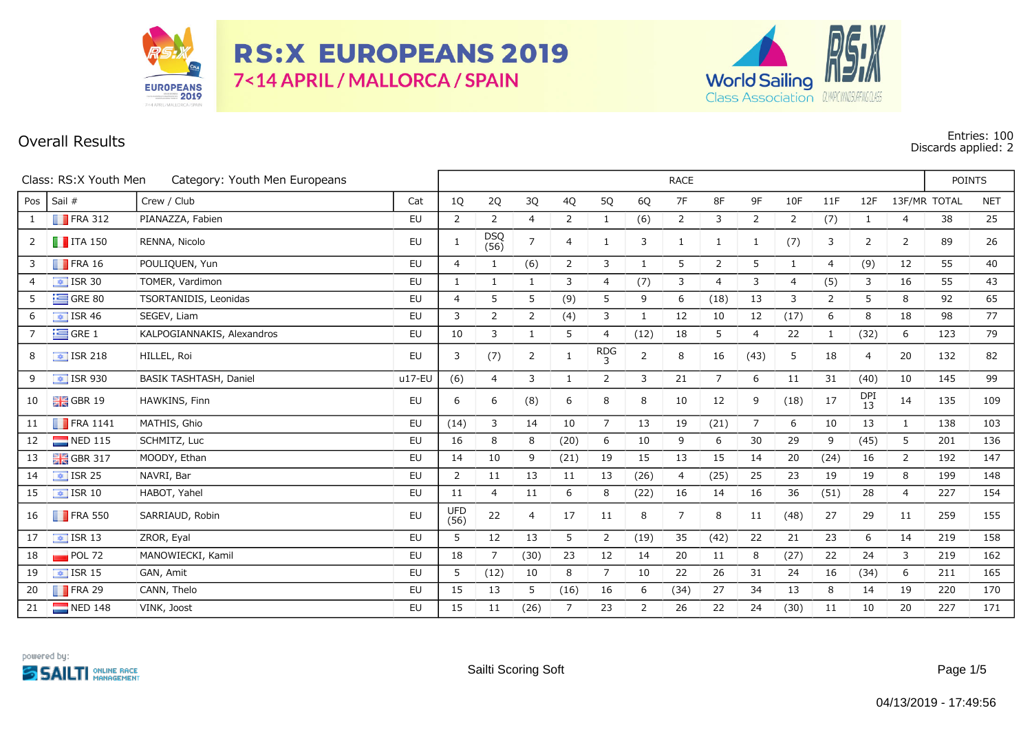

**RS:X EUROPEANS 2019** 7<14 APRIL / MALLORCA / SPAIN



## **Overall Results Entries: 100 Discards applied: 2**

| Class: RS:X Youth Men<br>Category: Youth Men Europeans |                          |                            |           |                    | <b>RACE</b>  |                |                |                |                |                |      |                |                |                |           |                |              |            |
|--------------------------------------------------------|--------------------------|----------------------------|-----------|--------------------|--------------|----------------|----------------|----------------|----------------|----------------|------|----------------|----------------|----------------|-----------|----------------|--------------|------------|
| Pos                                                    | Sail #                   | Crew / Club                | Cat       | 1Q                 | 2Q           | 3Q             | 4Q             | 5Q             | 6Q             | $7\mathsf{F}$  | 8F   | 9F             | 10F            | 11F            | 12F       |                | 13F/MR TOTAL | <b>NET</b> |
| 1                                                      | $\blacksquare$ FRA 312   | PIANAZZA, Fabien           | EU        | $\overline{2}$     | 2            | 4              | 2              | 1              | (6)            | 2              | 3    | 2              | $\overline{2}$ | (7)            | 1         | 4              | 38           | 25         |
| 2                                                      | $\blacksquare$ ITA 150   | RENNA, Nicolo              | EU        | -1                 | DSQ<br>(56)  | $\overline{7}$ | 4              | $\mathbf{1}$   | 3              | 1              | 1    | 1              | (7)            | 3              | 2         | 2              | 89           | 26         |
| 3                                                      | $\blacksquare$ FRA 16    | POULIQUEN, Yun             | EU        | $\overline{4}$     | 1            | (6)            | $\overline{2}$ | 3              | 1              | 5              | 2    | 5              | 1              | 4              | (9)       | 12             | 55           | 40         |
| $\overline{4}$                                         | $\boxed{4}$ ISR 30       | TOMER, Vardimon            | EU        | 1                  | $\mathbf{1}$ | $\mathbf{1}$   | 3              | 4              | (7)            | 3              | 4    | 3              | $\overline{4}$ | (5)            | 3         | 16             | 55           | 43         |
| 5                                                      | $\equiv$ GRE 80          | TSORTANIDIS, Leonidas      | <b>EU</b> | $\overline{4}$     | 5            | 5              | (9)            | 5              | 9              | 6              | (18) | 13             | 3              | $\overline{2}$ | 5         | 8              | 92           | 65         |
| 6                                                      | $\boxed{\div}$ ISR 46    | SEGEV, Liam                | EU        | 3                  | 2            | 2              | (4)            | 3              | 1              | 12             | 10   | 12             | (17)           | 6              | 8         | 18             | 98           | 77         |
| $\overline{7}$                                         | $\equiv$ GRE 1           | KALPOGIANNAKIS, Alexandros | <b>EU</b> | 10                 | 3            | $\mathbf{1}$   | 5              | 4              | (12)           | 18             | 5    | $\overline{4}$ | 22             | $\mathbf{1}$   | (32)      | 6              | 123          | 79         |
| 8                                                      | $\frac{1}{2}$ ISR 218    | HILLEL, Roi                | EU        | 3                  | (7)          | $\overline{2}$ | 1              | $RDG_3$        | $\overline{2}$ | 8              | 16   | (43)           | 5              | 18             | 4         | 20             | 132          | 82         |
| 9                                                      | $\frac{1}{2}$ ISR 930    | BASIK TASHTASH, Daniel     | $u17-EU$  | (6)                | 4            | 3              | 1              | $\overline{2}$ | 3              | 21             | 7    | 6              | 11             | 31             | (40)      | 10             | 145          | 99         |
| 10                                                     | <b>HE</b> GBR 19         | HAWKINS, Finn              | EU        | 6                  | 6            | (8)            | 6              | 8              | 8              | 10             | 12   | 9              | (18)           | 17             | DPI<br>13 | 14             | 135          | 109        |
| 11                                                     | $\blacksquare$ FRA 1141  | MATHIS, Ghio               | <b>EU</b> | (14)               | 3            | 14             | 10             | $\overline{7}$ | 13             | 19             | (21) | $\overline{7}$ | 6              | 10             | 13        | 1              | 138          | 103        |
| 12                                                     | $\blacksquare$ NED 115   | SCHMITZ, Luc               | <b>EU</b> | 16                 | 8            | 8              | (20)           | 6              | 10             | 9              | 6    | 30             | 29             | 9              | (45)      | 5              | 201          | 136        |
| 13                                                     | $\frac{1}{26}$ GBR 317   | MOODY, Ethan               | EU        | 14                 | 10           | 9              | (21)           | 19             | 15             | 13             | 15   | 14             | 20             | (24)           | 16        | $\overline{2}$ | 192          | 147        |
| 14                                                     | $\sqrt{1}$ ISR 25        | NAVRI, Bar                 | EU        | $\overline{2}$     | 11           | 13             | 11             | 13             | (26)           | 4              | (25) | 25             | 23             | 19             | 19        | 8              | 199          | 148        |
| 15                                                     | $\boxed{\div}$ ISR 10    | HABOT, Yahel               | EU        | 11                 | 4            | 11             | 6              | 8              | (22)           | 16             | 14   | 16             | 36             | (51)           | 28        | $\overline{4}$ | 227          | 154        |
| 16                                                     | $\blacksquare$ FRA 550   | SARRIAUD, Robin            | EU        | <b>UFD</b><br>(56) | 22           | $\overline{4}$ | 17             | 11             | 8              | $\overline{7}$ | 8    | 11             | (48)           | 27             | 29        | 11             | 259          | 155        |
| 17                                                     | $\sqrt{1}$ ISR 13        | ZROR, Eyal                 | EU        | 5                  | 12           | 13             | 5              | $\overline{2}$ | (19)           | 35             | (42) | 22             | 21             | 23             | 6         | 14             | 219          | 158        |
| 18                                                     | $POL$ 72                 | MANOWIECKI, Kamil          | EU        | 18                 | 7            | (30)           | 23             | 12             | 14             | 20             | 11   | 8              | (27)           | 22             | 24        | 3              | 219          | 162        |
| 19                                                     | $\boxed{\bullet}$ ISR 15 | GAN, Amit                  | EU        | 5                  | (12)         | 10             | 8              | $\overline{7}$ | 10             | 22             | 26   | 31             | 24             | 16             | (34)      | 6              | 211          | 165        |
| 20                                                     | $\blacksquare$ FRA 29    | CANN, Thelo                | EU        | 15                 | 13           | 5              | (16)           | 16             | 6              | (34)           | 27   | 34             | 13             | 8              | 14        | 19             | 220          | 170        |
| 21                                                     | $\blacksquare$ NED 148   | VINK, Joost                | EU        | 15                 | 11           | (26)           | 7              | 23             | 2              | 26             | 22   | 24             | (30)           | 11             | 10        | 20             | 227          | 171        |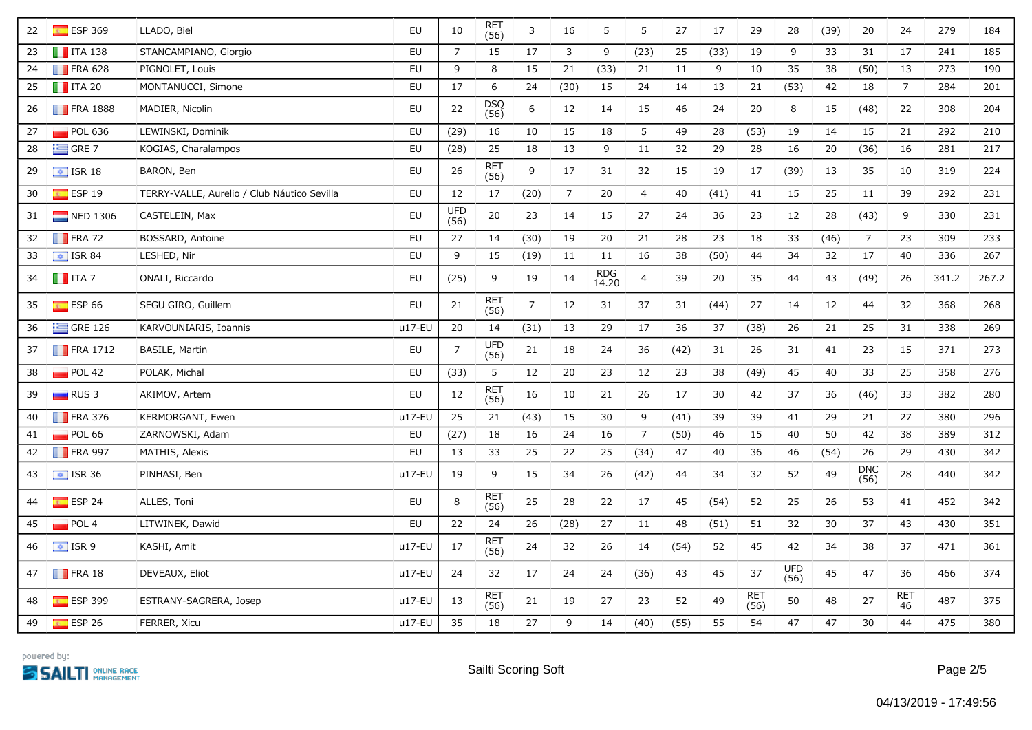| 22 | $E$ ESP 369             | LLADO, Biel                                 | EU        | 10                 | RET<br>(56)        | 3              | 16             | 5                   | 5              | 27   | 17   | 29                 | 28          | (39) | 20                 | 24               | 279   | 184   |
|----|-------------------------|---------------------------------------------|-----------|--------------------|--------------------|----------------|----------------|---------------------|----------------|------|------|--------------------|-------------|------|--------------------|------------------|-------|-------|
| 23 | $\blacksquare$ ITA 138  | STANCAMPIANO, Giorgio                       | EU        | $\overline{7}$     | 15                 | 17             | 3              | 9                   | (23)           | 25   | (33) | 19                 | 9           | 33   | 31                 | 17               | 241   | 185   |
| 24 | $\blacksquare$ FRA 628  | PIGNOLET, Louis                             | <b>EU</b> | 9                  | 8                  | 15             | 21             | (33)                | 21             | 11   | 9    | 10                 | 35          | 38   | (50)               | 13               | 273   | 190   |
| 25 | $\blacksquare$ ITA 20   | MONTANUCCI, Simone                          | EU        | 17                 | 6                  | 24             | (30)           | 15                  | 24             | 14   | 13   | 21                 | (53)        | 42   | 18                 | $\overline{7}$   | 284   | 201   |
| 26 | $\blacksquare$ FRA 1888 | MADIER, Nicolin                             | EU        | 22                 | DSQ<br>(56)        | 6              | 12             | 14                  | 15             | 46   | 24   | 20                 | 8           | 15   | (48)               | 22               | 308   | 204   |
| 27 | POL 636                 | LEWINSKI, Dominik                           | <b>EU</b> | (29)               | 16                 | 10             | 15             | 18                  | 5              | 49   | 28   | (53)               | 19          | 14   | 15                 | 21               | 292   | 210   |
| 28 | $\equiv$ GRE 7          | KOGIAS, Charalampos                         | EU        | (28)               | 25                 | 18             | 13             | 9                   | $11\,$         | 32   | 29   | 28                 | 16          | 20   | (36)               | 16               | 281   | 217   |
| 29 | $\boxed{\div}$ ISR 18   | BARON, Ben                                  | EU        | 26                 | <b>RET</b><br>(56) | 9              | 17             | 31                  | 32             | 15   | 19   | 17                 | (39)        | 13   | 35                 | 10               | 319   | 224   |
| 30 | $E$ ESP 19              | TERRY-VALLE, Aurelio / Club Náutico Sevilla | <b>EU</b> | 12                 | 17                 | (20)           | $\overline{7}$ | 20                  | $\overline{4}$ | 40   | (41) | 41                 | 15          | 25   | 11                 | 39               | 292   | 231   |
| 31 | $\blacksquare$ NED 1306 | CASTELEIN, Max                              | EU        | <b>UFD</b><br>(56) | 20                 | 23             | 14             | 15                  | 27             | 24   | 36   | 23                 | 12          | 28   | (43)               | 9                | 330   | 231   |
| 32 | $\blacksquare$ FRA 72   | BOSSARD, Antoine                            | EU        | 27                 | 14                 | (30)           | 19             | 20                  | 21             | 28   | 23   | 18                 | 33          | (46) | $\overline{7}$     | 23               | 309   | 233   |
| 33 | $\boxed{\div}$ ISR 84   | LESHED, Nir                                 | EU        | 9                  | 15                 | (19)           | 11             | 11                  | 16             | 38   | (50) | 44                 | 34          | 32   | 17                 | 40               | 336   | 267   |
| 34 | $\blacksquare$ ITA 7    | ONALI, Riccardo                             | EU        | (25)               | 9                  | 19             | 14             | <b>RDG</b><br>14.20 | $\overline{4}$ | 39   | 20   | 35                 | 44          | 43   | (49)               | 26               | 341.2 | 267.2 |
| 35 | $E$ ESP 66              | SEGU GIRO, Guillem                          | EU        | 21                 | <b>RET</b><br>(56) | $\overline{7}$ | 12             | 31                  | 37             | 31   | (44) | 27                 | 14          | 12   | 44                 | 32               | 368   | 268   |
| 36 | $\equiv$ GRE 126        | KARVOUNIARIS, Ioannis                       | $u17-EU$  | 20                 | 14                 | (31)           | 13             | 29                  | 17             | 36   | 37   | (38)               | 26          | 21   | 25                 | 31               | 338   | 269   |
| 37 | $\blacksquare$ FRA 1712 | <b>BASILE, Martin</b>                       | EU        | $\overline{7}$     | UFD<br>(56)        | 21             | 18             | 24                  | 36             | (42) | 31   | 26                 | 31          | 41   | 23                 | 15               | 371   | 273   |
| 38 | POL 42                  | POLAK, Michal                               | EU        | (33)               | 5                  | 12             | 20             | 23                  | 12             | 23   | 38   | (49)               | 45          | 40   | 33                 | 25               | 358   | 276   |
| 39 | $RUS$ 3                 | AKIMOV, Artem                               | EU        | 12                 | RET<br>(56)        | 16             | 10             | 21                  | 26             | 17   | 30   | 42                 | 37          | 36   | (46)               | 33               | 382   | 280   |
| 40 | $\blacksquare$ FRA 376  | KERMORGANT, Ewen                            | $u17$ -EU | 25                 | 21                 | (43)           | 15             | 30                  | 9              | (41) | 39   | 39                 | 41          | 29   | 21                 | 27               | 380   | 296   |
| 41 | POL 66                  | ZARNOWSKI, Adam                             | EU        | (27)               | 18                 | 16             | 24             | 16                  | $\overline{7}$ | (50) | 46   | 15                 | 40          | 50   | 42                 | 38               | 389   | 312   |
| 42 | $\blacksquare$ FRA 997  | MATHIS, Alexis                              | EU        | 13                 | 33                 | 25             | 22             | 25                  | (34)           | 47   | 40   | 36                 | 46          | (54) | 26                 | 29               | 430   | 342   |
| 43 | $\frac{1}{2}$ ISR 36    | PINHASI, Ben                                | $u17-EU$  | 19                 | 9                  | 15             | 34             | 26                  | (42)           | 44   | 34   | 32                 | 52          | 49   | <b>DNC</b><br>(56) | 28               | 440   | 342   |
| 44 | $E$ ESP 24              | ALLES, Toni                                 | EU        | 8                  | <b>RET</b><br>(56) | 25             | 28             | 22                  | 17             | 45   | (54) | 52                 | 25          | 26   | 53                 | 41               | 452   | 342   |
| 45 | POL 4                   | LITWINEK, Dawid                             | EU        | 22                 | 24                 | 26             | (28)           | 27                  | 11             | 48   | (51) | 51                 | 32          | 30   | 37                 | 43               | 430   | 351   |
| 46 | $\frac{1}{2}$ ISR 9     | KASHI, Amit                                 | u17-EU    | 17                 | RET<br>(56)        | 24             | 32             | 26                  | 14             | (54) | 52   | 45                 | 42          | 34   | 38                 | 37               | 471   | 361   |
| 47 | $\blacksquare$ FRA 18   | DEVEAUX, Eliot                              | u17-EU    | 24                 | 32                 | 17             | 24             | 24                  | (36)           | 43   | 45   | 37                 | UFD<br>(56) | 45   | 47                 | 36               | 466   | 374   |
| 48 | $ESP$ 399               | ESTRANY-SAGRERA, Josep                      | u17-EU    | 13                 | <b>RET</b><br>(56) | 21             | 19             | 27                  | 23             | 52   | 49   | <b>RET</b><br>(56) | 50          | 48   | 27                 | <b>RET</b><br>46 | 487   | 375   |
| 49 | ESP26                   | FERRER, Xicu                                | $u17-EU$  | 35                 | 18                 | 27             | 9              | 14                  | (40)           | (55) | 55   | 54                 | 47          | 47   | 30                 | 44               | 475   | 380   |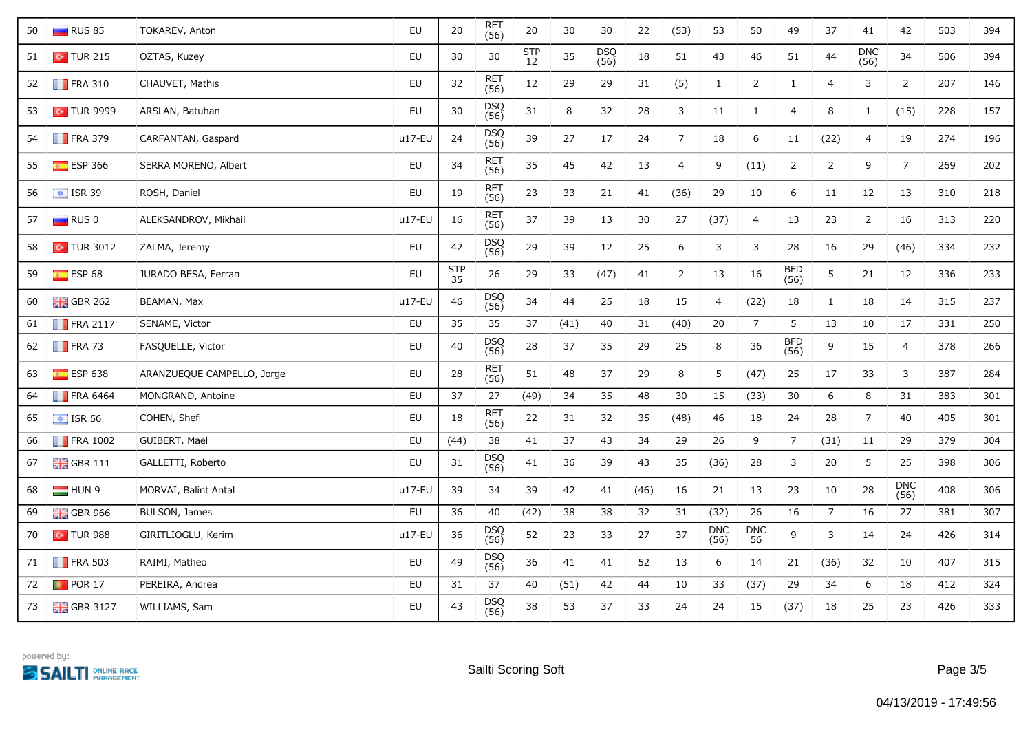| 50 | RUS 85                  | TOKAREV, Anton             | EU     | 20               | RET<br>(56)        | 20            | 30   | 30          | 22   | (53)           | 53                     | 50             | 49                 | 37             | 41             | 42                 | 503 | 394 |
|----|-------------------------|----------------------------|--------|------------------|--------------------|---------------|------|-------------|------|----------------|------------------------|----------------|--------------------|----------------|----------------|--------------------|-----|-----|
| 51 | $\sim$ TUR 215          | OZTAS, Kuzey               | EU     | 30               | 30                 | $STP$<br>$12$ | 35   | DSQ<br>(56) | 18   | 51             | 43                     | 46             | 51                 | 44             | DNC<br>(56)    | 34                 | 506 | 394 |
| 52 | $\blacksquare$ FRA 310  | CHAUVET, Mathis            | EU     | 32               | <b>RET</b><br>(56) | 12            | 29   | 29          | 31   | (5)            | $\mathbf{1}$           | $\overline{2}$ | $\mathbf{1}$       | $\overline{4}$ | 3              | $\overline{2}$     | 207 | 146 |
| 53 | $\sim$ TUR 9999         | ARSLAN, Batuhan            | EU     | 30               | DSQ<br>(56)        | 31            | 8    | 32          | 28   | 3              | $11\,$                 | $\mathbf{1}$   | $\overline{4}$     | 8              | $\mathbf{1}$   | (15)               | 228 | 157 |
| 54 | $\blacksquare$ FRA 379  | CARFANTAN, Gaspard         | u17-EU | 24               | DSQ<br>(56)        | 39            | 27   | 17          | 24   | $7^{\circ}$    | 18                     | 6              | 11                 | (22)           | $\overline{4}$ | 19                 | 274 | 196 |
| 55 | $E$ ESP 366             | SERRA MORENO, Albert       | EU     | 34               | RET<br>(56)        | 35            | 45   | 42          | 13   | $\overline{4}$ | 9                      | (11)           | $\overline{2}$     | $\overline{2}$ | 9              | $\overline{7}$     | 269 | 202 |
| 56 | $\frac{1}{2}$ ISR 39    | ROSH, Daniel               | EU     | 19               | RET<br>(56)        | 23            | 33   | 21          | 41   | (36)           | 29                     | 10             | 6                  | 11             | 12             | 13                 | 310 | 218 |
| 57 | $\Box$ RUS 0            | ALEKSANDROV, Mikhail       | u17-EU | 16               | <b>RET</b><br>(56) | 37            | 39   | 13          | 30   | 27             | (37)                   | $\overline{4}$ | 13                 | 23             | $\overline{2}$ | 16                 | 313 | 220 |
| 58 | $\sim$ TUR 3012         | ZALMA, Jeremy              | EU     | 42               | DSQ<br>(56)        | 29            | 39   | 12          | 25   | 6              | 3                      | 3              | 28                 | 16             | 29             | (46)               | 334 | 232 |
| 59 | $E$ ESP 68              | JURADO BESA, Ferran        | EU     | <b>STP</b><br>35 | 26                 | 29            | 33   | (47)        | 41   | $\overline{2}$ | 13                     | 16             | BFD<br>(56)        | 5              | 21             | 12                 | 336 | 233 |
| 60 | $\frac{1}{200}$ GBR 262 | BEAMAN, Max                | u17-EU | 46               | DSQ<br>(56)        | 34            | 44   | 25          | 18   | 15             | 4                      | (22)           | 18                 | $\mathbf{1}$   | 18             | 14                 | 315 | 237 |
| 61 | $\blacksquare$ FRA 2117 | SENAME, Victor             | EU     | 35               | 35                 | 37            | (41) | 40          | 31   | (40)           | 20                     | $\overline{7}$ | 5                  | 13             | 10             | 17                 | 331 | 250 |
| 62 | $\blacksquare$ FRA 73   | FASQUELLE, Victor          | EU     | 40               | DSQ<br>(56)        | 28            | 37   | 35          | 29   | 25             | $\, 8$                 | 36             | <b>BFD</b><br>(56) | 9              | 15             | $\overline{4}$     | 378 | 266 |
| 63 | $E = ESP 638$           | ARANZUEQUE CAMPELLO, Jorge | EU     | 28               | RET<br>(56)        | 51            | 48   | 37          | 29   | 8              | 5                      | (47)           | 25                 | 17             | 33             | 3                  | 387 | 284 |
| 64 | $\blacksquare$ FRA 6464 | MONGRAND, Antoine          | EU     | 37               | 27                 | (49)          | 34   | 35          | 48   | 30             | 15                     | (33)           | 30                 | 6              | 8              | 31                 | 383 | 301 |
| 65 | $\frac{1}{2}$ ISR 56    | COHEN, Shefi               | EU     | 18               | <b>RET</b><br>(56) | 22            | 31   | 32          | 35   | (48)           | 46                     | 18             | 24                 | 28             | $\overline{7}$ | 40                 | 405 | 301 |
| 66 | $\blacksquare$ FRA 1002 | GUIBERT, Mael              | EU     | (44)             | 38                 | 41            | 37   | 43          | 34   | 29             | 26                     | 9              | $7\overline{ }$    | (31)           | ${\bf 11}$     | 29                 | 379 | 304 |
| 67 | $\frac{1}{26}$ GBR 111  | GALLETTI, Roberto          | EU     | 31               | DSQ<br>(56)        | 41            | 36   | 39          | 43   | 35             | (36)                   | 28             | 3                  | 20             | 5              | 25                 | 398 | 306 |
| 68 | HUN 9                   | MORVAI, Balint Antal       | u17-EU | 39               | 34                 | 39            | 42   | 41          | (46) | 16             | 21                     | 13             | 23                 | 10             | 28             | <b>DNC</b><br>(56) | 408 | 306 |
| 69 | $\frac{1}{26}$ GBR 966  | BULSON, James              | EU     | 36               | 40                 | (42)          | 38   | 38          | 32   | 31             | (32)                   | 26             | 16                 | $7^{\circ}$    | 16             | 27                 | 381 | 307 |
| 70 | $\bullet$ TUR 988       | GIRITLIOGLU, Kerim         | u17-EU | 36               | DSQ<br>(56)        | 52            | 23   | 33          | 27   | 37             | $\mathsf{DNC}$<br>(56) | DNC<br>56      | 9                  | 3              | 14             | 24                 | 426 | 314 |
| 71 | $\blacksquare$ FRA 503  | RAIMI, Matheo              | EU     | 49               | DSQ<br>(56)        | 36            | 41   | 41          | 52   | 13             | 6                      | 14             | 21                 | (36)           | 32             | 10                 | 407 | 315 |
| 72 | <b>D</b> POR 17         | PEREIRA, Andrea            | EU     | 31               | 37                 | 40            | (51) | 42          | 44   | 10             | 33                     | (37)           | 29                 | 34             | 6              | 18                 | 412 | 324 |
| 73 | $\frac{1}{26}$ GBR 3127 | WILLIAMS, Sam              | EU     | 43               | DSQ<br>(56)        | 38            | 53   | 37          | 33   | 24             | 24                     | 15             | (37)               | 18             | 25             | 23                 | 426 | 333 |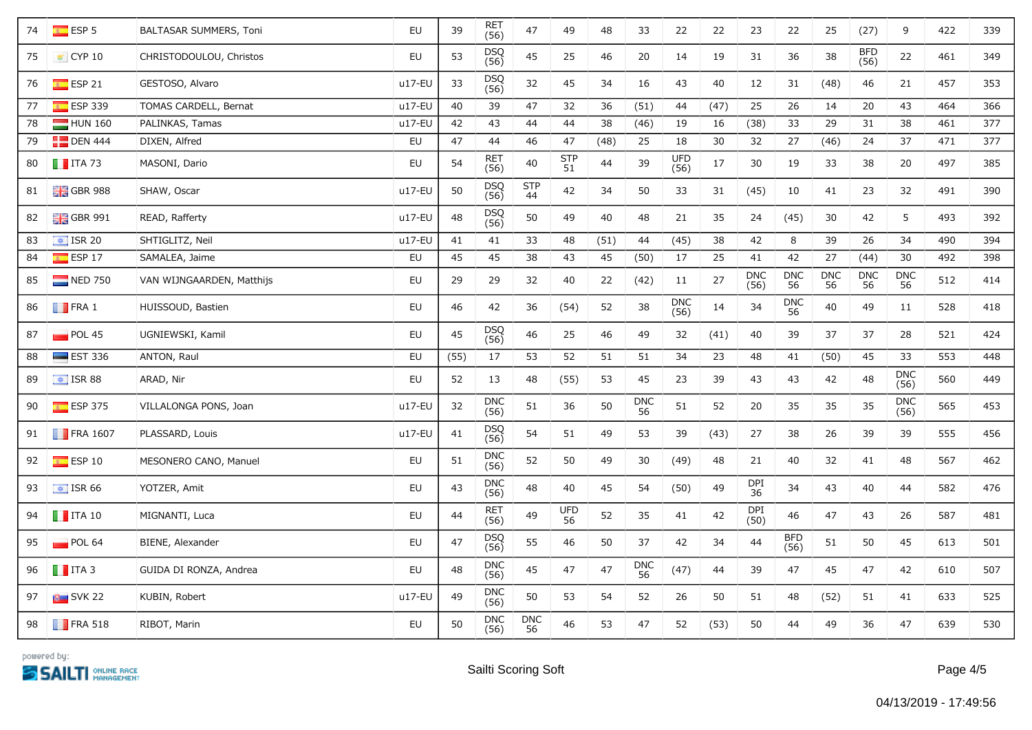| 74 | $E = ESP 5$                 | BALTASAR SUMMERS, Toni    | EU       | 39   | RET<br>(56)        | 47                  | 49               | 48   | 33               | 22          | 22   | 23                 | 22                 | 25               | (27)               | 9                  | 422 | 339 |
|----|-----------------------------|---------------------------|----------|------|--------------------|---------------------|------------------|------|------------------|-------------|------|--------------------|--------------------|------------------|--------------------|--------------------|-----|-----|
| 75 | $\vert$ CYP 10              | CHRISTODOULOU, Christos   | EU       | 53   | <b>DSQ</b><br>(56) | 45                  | 25               | 46   | 20               | 14          | 19   | 31                 | 36                 | 38               | <b>BFD</b><br>(56) | 22                 | 461 | 349 |
| 76 | $\overline{\bullet}$ ESP 21 | GESTOSO, Alvaro           | u17-EU   | 33   | <b>DSQ</b><br>(56) | 32                  | 45               | 34   | 16               | 43          | 40   | 12                 | 31                 | (48)             | 46                 | 21                 | 457 | 353 |
| 77 | $E = ESP 339$               | TOMAS CARDELL, Bernat     | $u17-EU$ | 40   | 39                 | 47                  | 32               | 36   | (51)             | 44          | (47) | 25                 | 26                 | 14               | 20                 | 43                 | 464 | 366 |
| 78 | HUN 160                     | PALINKAS, Tamas           | u17-EU   | 42   | 43                 | 44                  | 44               | 38   | (46)             | 19          | 16   | (38)               | 33                 | 29               | 31                 | 38                 | 461 | 377 |
| 79 | $\Box$ DEN 444              | DIXEN, Alfred             | EU       | 47   | 44                 | 46                  | 47               | (48) | 25               | 18          | 30   | 32                 | 27                 | (46)             | 24                 | 37                 | 471 | 377 |
| 80 | $\blacksquare$ ITA 73       | MASONI, Dario             | EU       | 54   | RET<br>(56)        | $40\,$              | <b>STP</b><br>51 | 44   | 39               | UFD<br>(56) | 17   | 30                 | 19                 | 33               | 38                 | 20                 | 497 | 385 |
| 81 | $\frac{1}{2}$ GBR 988       | SHAW, Oscar               | u17-EU   | 50   | DSQ<br>(56)        | <b>STP</b><br>$-44$ | 42               | 34   | 50               | 33          | 31   | (45)               | 10                 | 41               | 23                 | 32                 | 491 | 390 |
| 82 | $\frac{1}{26}$ GBR 991      | READ, Rafferty            | u17-EU   | 48   | DSQ<br>(56)        | 50                  | 49               | 40   | 48               | 21          | 35   | 24                 | (45)               | 30               | 42                 | 5                  | 493 | 392 |
| 83 | $\boxed{4}$ ISR 20          | SHTIGLITZ, Neil           | u17-EU   | 41   | 41                 | 33                  | 48               | (51) | 44               | (45)        | 38   | 42                 | 8                  | 39               | 26                 | 34                 | 490 | 394 |
| 84 | $E = ESP 17$                | SAMALEA, Jaime            | EU       | 45   | 45                 | 38                  | 43               | 45   | (50)             | 17          | 25   | 41                 | 42                 | 27               | (44)               | 30                 | 492 | 398 |
| 85 | $\Box$ NED 750              | VAN WIJNGAARDEN, Matthijs | EU       | 29   | 29                 | 32                  | 40               | 22   | (42)             | 11          | 27   | <b>DNC</b><br>(56) | <b>DNC</b><br>56   | <b>DNC</b><br>56 | <b>DNC</b><br>56   | <b>DNC</b><br>56   | 512 | 414 |
| 86 | $\blacksquare$ FRA 1        | HUISSOUD, Bastien         | EU       | 46   | 42                 | 36                  | (54)             | 52   | 38               | DNC<br>(56) | 14   | 34                 | DNC<br>56          | 40               | 49                 | 11                 | 528 | 418 |
| 87 | $\blacksquare$ POL 45       | UGNIEWSKI, Kamil          | EU       | 45   | DSQ<br>(56)        | 46                  | 25               | 46   | 49               | 32          | (41) | 40                 | 39                 | 37               | 37                 | 28                 | 521 | 424 |
| 88 | $\equiv$ EST 336            | ANTON, Raul               | EU       | (55) | 17                 | 53                  | 52               | 51   | 51               | 34          | 23   | 48                 | 41                 | (50)             | 45                 | 33                 | 553 | 448 |
| 89 | $\overline{\bullet}$ ISR 88 | ARAD, Nir                 | EU       | 52   | 13                 | 48                  | (55)             | 53   | 45               | 23          | 39   | 43                 | 43                 | 42               | 48                 | <b>DNC</b><br>(56) | 560 | 449 |
| 90 | $E$ ESP 375                 | VILLALONGA PONS, Joan     | u17-EU   | 32   | DNC<br>(56)        | 51                  | 36               | 50   | <b>DNC</b><br>56 | 51          | 52   | 20                 | 35                 | 35               | 35                 | <b>DNC</b><br>(56) | 565 | 453 |
| 91 | <b>FRA 1607</b>             | PLASSARD, Louis           | u17-EU   | 41   | DSQ<br>(56)        | 54                  | 51               | 49   | 53               | 39          | (43) | 27                 | 38                 | 26               | 39                 | 39                 | 555 | 456 |
| 92 | $\overline{\bullet}$ ESP 10 | MESONERO CANO, Manuel     | EU       | 51   | DNC<br>(56)        | 52                  | 50               | 49   | 30               | (49)        | 48   | 21                 | 40                 | 32               | 41                 | 48                 | 567 | 462 |
| 93 | $\equiv$ ISR 66             | YOTZER, Amit              | EU       | 43   | <b>DNC</b><br>(56) | 48                  | 40               | 45   | 54               | (50)        | 49   | DPI<br>36          | 34                 | 43               | 40                 | 44                 | 582 | 476 |
| 94 | $\blacksquare$ ITA 10       | MIGNANTI, Luca            | EU       | 44   | <b>RET</b><br>(56) | 49                  | <b>UFD</b><br>56 | 52   | 35               | 41          | 42   | DPI<br>(50)        | 46                 | 47               | 43                 | 26                 | 587 | 481 |
| 95 | POL 64                      | BIENE, Alexander          | EU       | 47   | DSQ<br>(56)        | 55                  | 46               | 50   | 37               | 42          | 34   | 44                 | <b>BFD</b><br>(56) | 51               | 50                 | 45                 | 613 | 501 |
| 96 | $\blacksquare$ ITA 3        | GUIDA DI RONZA, Andrea    | EU       | 48   | DNC<br>(56)        | 45                  | 47               | 47   | DNC<br>56        | (47)        | 44   | 39                 | 47                 | 45               | 47                 | 42                 | 610 | 507 |
| 97 | $\blacksquare$ SVK 22       | KUBIN, Robert             | u17-EU   | 49   | <b>DNC</b><br>(56) | 50                  | 53               | 54   | 52               | 26          | 50   | 51                 | 48                 | (52)             | 51                 | 41                 | 633 | 525 |
| 98 | $\blacksquare$ FRA 518      | RIBOT, Marin              | EU       | 50   | <b>DNC</b><br>(56) | <b>DNC</b><br>56    | 46               | 53   | 47               | 52          | (53) | 50                 | 44                 | 49               | 36                 | 47                 | 639 | 530 |